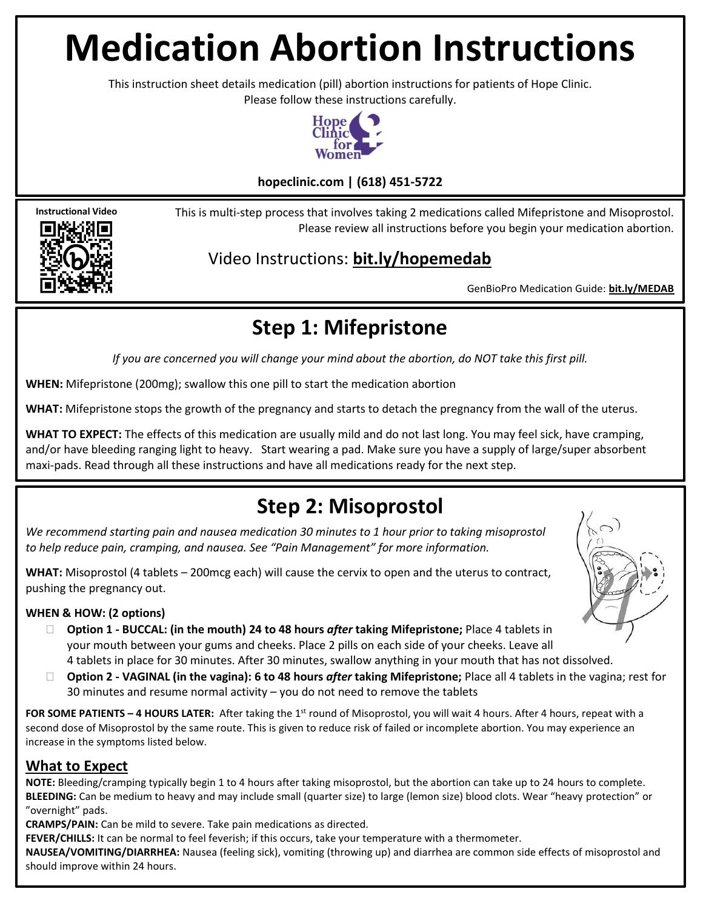# **Medication Abortion Instructions**

This instruction sheet details medication (pill) abortion instructions for patients of Hope Clinic. Please follow these instructions carefully.



#### **hopeclinic.com | (618) 451-5722**

This is multi-step process that involves taking 2 medications called Mifepristone and Misoprostol. Please review all instructions before you begin your medication abortion.

### Video Instructions: **bit.ly/hopemedab**

GenBioPro Medication Guide: **bit.ly/MEDAB**

# **Step 1: Mifepristone**

*If you are concerned you will change your mind about the abortion, do NOT take this first pill.*

**WHEN:** Mifepristone (200mg); swallow this one pill to start the medication abortion

**WHAT:** Mifepristone stops the growth of the pregnancy and starts to detach the pregnancy from the wall of the uterus.

**WHAT TO EXPECT:** The effects of this medication are usually mild and do not last long. You may feel sick, have cramping, and/or have bleeding ranging light to heavy. Start wearing a pad. Make sure you have a supply of large/super absorbent maxi-pads. Read through all these instructions and have all medications ready for the next step.

## **Step 2: Misoprostol**

*We recommend starting pain and nausea medication 30 minutes to 1 hour prior to taking misoprostol to help reduce pain, cramping, and nausea. See "Pain Management" for more information.* 

**WHAT:** Misoprostol (4 tablets – 200mcg each) will cause the cervix to open and the uterus to contract, pushing the pregnancy out.

#### **WHEN & HOW: (2 options)**

**Instructional Video**

- **Option 1 - BUCCAL: (in the mouth) 24 to 48 hours** *after* **taking Mifepristone;** Place 4 tablets in your mouth between your gums and cheeks. Place 2 pills on each side of your cheeks. Leave all 4 tablets in place for 30 minutes. After 30 minutes, swallow anything in your mouth that has not dissolved.
- **Option 2 - VAGINAL (in the vagina): 6 to 48 hours** *after* **taking Mifepristone;** Place all 4 tablets in the vagina; rest for 30 minutes and resume normal activity – you do not need to remove the tablets

**FOR SOME PATIENTS – 4 HOURS LATER:** After taking the 1<sup>st</sup> round of Misoprostol, you will wait 4 hours. After 4 hours, repeat with a second dose of Misoprostol by the same route. This is given to reduce risk of failed or incomplete abortion. You may experience an increase in the symptoms listed below.

#### **What to Expect**

**NOTE:** Bleeding/cramping typically begin 1 to 4 hours after taking misoprostol, but the abortion can take up to 24 hours to complete. **BLEEDING:** Can be medium to heavy and may include small (quarter size) to large (lemon size) blood clots. Wear "heavy protection" or "overnight" pads.

**CRAMPS/PAIN:** Can be mild to severe. Take pain medications as directed.

**FEVER/CHILLS:** It can be normal to feel feverish; if this occurs, take your temperature with a thermometer.

**NAUSEA/VOMITING/DIARRHEA:** Nausea (feeling sick), vomiting (throwing up) and diarrhea are common side effects of misoprostol and should improve within 24 hours.

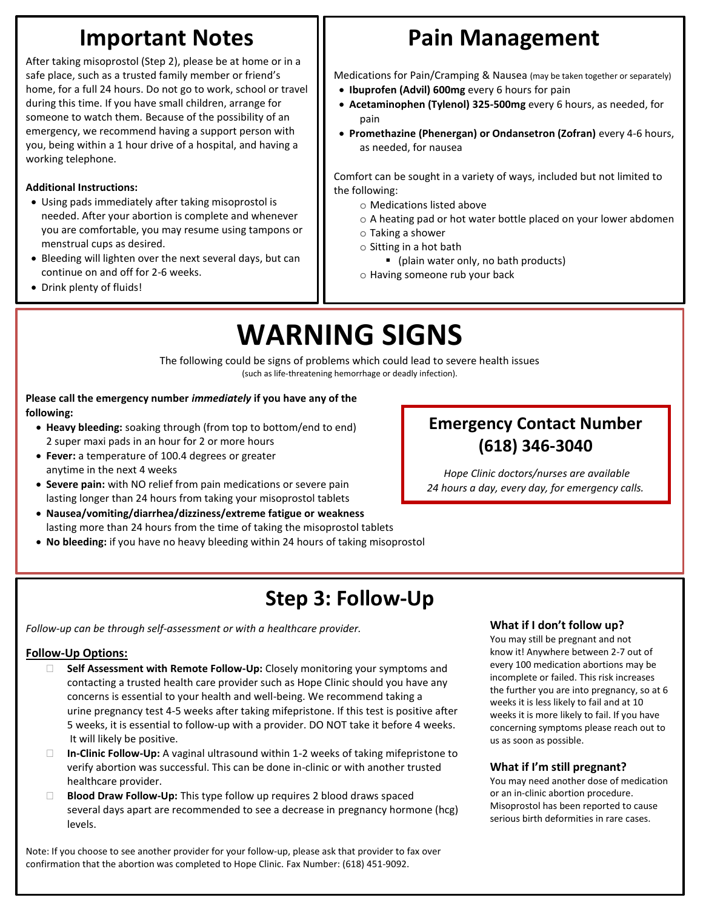# **Important Notes**

After taking misoprostol (Step 2), please be at home or in a safe place, such as a trusted family member or friend's home, for a full 24 hours. Do not go to work, school or travel during this time. If you have small children, arrange for someone to watch them. Because of the possibility of an emergency, we recommend having a support person with you, being within a 1 hour drive of a hospital, and having a working telephone.

#### **Additional Instructions:**

- Using pads immediately after taking misoprostol is needed. After your abortion is complete and whenever you are comfortable, you may resume using tampons or menstrual cups as desired.
- Bleeding will lighten over the next several days, but can continue on and off for 2-6 weeks.
- Drink plenty of fluids!

# **Pain Management**

Medications for Pain/Cramping & Nausea (may be taken together or separately)

- **Ibuprofen (Advil) 600mg** every 6 hours for pain
- **Acetaminophen (Tylenol) 325-500mg** every 6 hours, as needed, for pain
- **Promethazine (Phenergan) or Ondansetron (Zofran)** every 4-6 hours, as needed, for nausea

Comfort can be sought in a variety of ways, included but not limited to the following:

- o Medications listed above
- o A heating pad or hot water bottle placed on your lower abdomen
- o Taking a shower
- o Sitting in a hot bath
	- (plain water only, no bath products)
- o Having someone rub your back

# **WARNING SIGNS**

The following could be signs of problems which could lead to severe health issues (such as life-threatening hemorrhage or deadly infection).

**Please call the emergency number** *immediately* **if you have any of the following:**

- **Heavy bleeding:** soaking through (from top to bottom/end to end) 2 super maxi pads in an hour for 2 or more hours
- **Fever:** a temperature of 100.4 degrees or greater anytime in the next 4 weeks
- **Severe pain:** with NO relief from pain medications or severe pain lasting longer than 24 hours from taking your misoprostol tablets
- **Nausea/vomiting/diarrhea/dizziness/extreme fatigue or weakness** lasting more than 24 hours from the time of taking the misoprostol tablets
- **No bleeding:** if you have no heavy bleeding within 24 hours of taking misoprostol

# **Step 3: Follow-Up**

*Follow-up can be through self-assessment or with a healthcare provider.*

#### **Follow-Up Options:**

- **Self Assessment with Remote Follow-Up:** Closely monitoring your symptoms and contacting a trusted health care provider such as Hope Clinic should you have any concerns is essential to your health and well-being. We recommend taking a urine pregnancy test 4-5 weeks after taking mifepristone. If this test is positive after 5 weeks, it is essential to follow-up with a provider. DO NOT take it before 4 weeks. It will likely be positive.
- **In-Clinic Follow-Up:** A vaginal ultrasound within 1-2 weeks of taking mifepristone to verify abortion was successful. This can be done in-clinic or with another trusted healthcare provider.
- **Blood Draw Follow-Up:** This type follow up requires 2 blood draws spaced several days apart are recommended to see a decrease in pregnancy hormone (hcg) levels.

has note: If you choose to see another provider for your follow-up, please ask that provider to fax over confirmation that the abortion was completed to Hope Clinic. Fax Number: (618) 451-9092.

### **Emergency Contact Number (618) 346-3040**

*Hope Clinic doctors/nurses are available 24 hours a day, every day, for emergency calls.*

#### **What if I don't follow up?**

You may still be pregnant and not know it! Anywhere between 2-7 out of every 100 medication abortions may be incomplete or failed. This risk increases the further you are into pregnancy, so at 6 weeks it is less likely to fail and at 10 weeks it is more likely to fail. If you have concerning symptoms please reach out to us as soon as possible.

#### **What if I'm still pregnant?**

You may need another dose of medication or an in-clinic abortion procedure. Misoprostol has been reported to cause serious birth deformities in rare cases.